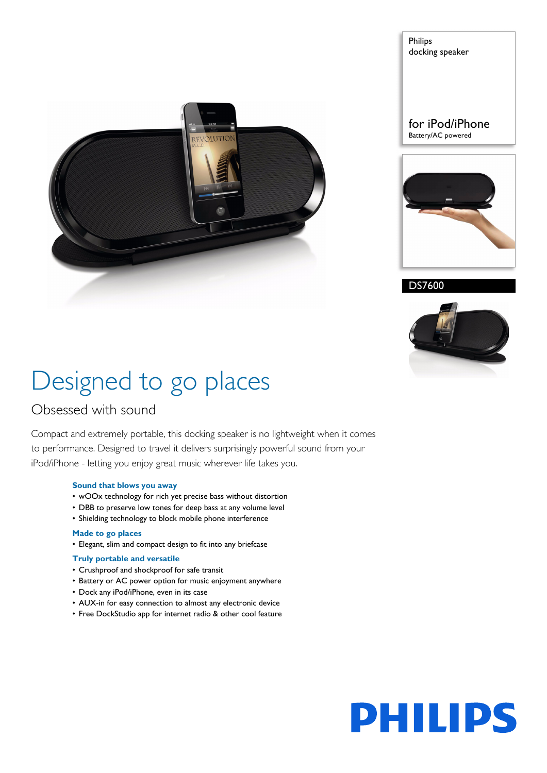

Philips docking speaker

### for iPod/iPhone Battery/AC powered



DS7600



# Designed to go places

### Obsessed with sound

Compact and extremely portable, this docking speaker is no lightweight when it comes to performance. Designed to travel it delivers surprisingly powerful sound from your iPod/iPhone - letting you enjoy great music wherever life takes you.

### **Sound that blows you away**

- wOOx technology for rich yet precise bass without distortion
- DBB to preserve low tones for deep bass at any volume level
- Shielding technology to block mobile phone interference

### **Made to go places**

• Elegant, slim and compact design to fit into any briefcase

### **Truly portable and versatile**

- Crushproof and shockproof for safe transit
- Battery or AC power option for music enjoyment anywhere
- Dock any iPod/iPhone, even in its case
- AUX-in for easy connection to almost any electronic device
- Free DockStudio app for internet radio & other cool feature